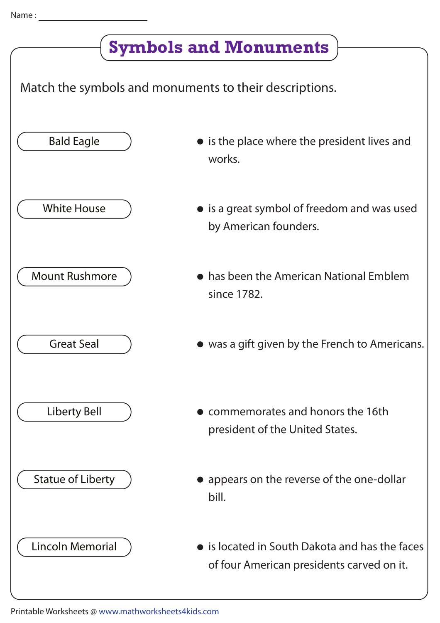